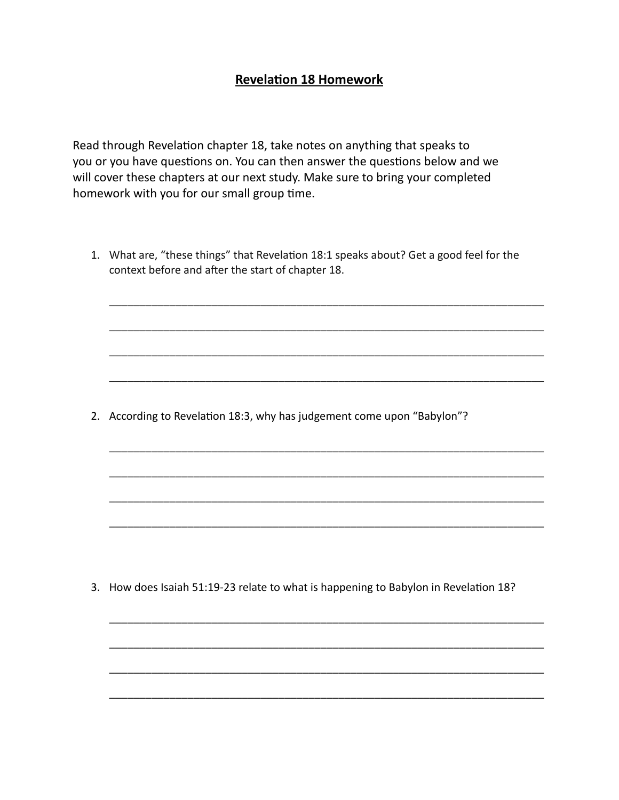## **Revelation 18 Homework**

Read through Revelation chapter 18, take notes on anything that speaks to you or you have questions on. You can then answer the questions below and we will cover these chapters at our next study. Make sure to bring your completed homework with you for our small group time.

1. What are, "these things" that Revelation 18:1 speaks about? Get a good feel for the context before and after the start of chapter 18.

\_\_\_\_\_\_\_\_\_\_\_\_\_\_\_\_\_\_\_\_\_\_\_\_\_\_\_\_\_\_\_\_\_\_\_\_\_\_\_\_\_\_\_\_\_\_\_\_\_\_\_\_\_\_\_\_\_\_\_\_\_\_\_\_\_\_\_\_\_\_\_\_

\_\_\_\_\_\_\_\_\_\_\_\_\_\_\_\_\_\_\_\_\_\_\_\_\_\_\_\_\_\_\_\_\_\_\_\_\_\_\_\_\_\_\_\_\_\_\_\_\_\_\_\_\_\_\_\_\_\_\_\_\_\_\_\_\_\_\_\_\_\_\_\_

\_\_\_\_\_\_\_\_\_\_\_\_\_\_\_\_\_\_\_\_\_\_\_\_\_\_\_\_\_\_\_\_\_\_\_\_\_\_\_\_\_\_\_\_\_\_\_\_\_\_\_\_\_\_\_\_\_\_\_\_\_\_\_\_\_\_\_\_\_\_\_\_

\_\_\_\_\_\_\_\_\_\_\_\_\_\_\_\_\_\_\_\_\_\_\_\_\_\_\_\_\_\_\_\_\_\_\_\_\_\_\_\_\_\_\_\_\_\_\_\_\_\_\_\_\_\_\_\_\_\_\_\_\_\_\_\_\_\_\_\_\_\_\_\_

\_\_\_\_\_\_\_\_\_\_\_\_\_\_\_\_\_\_\_\_\_\_\_\_\_\_\_\_\_\_\_\_\_\_\_\_\_\_\_\_\_\_\_\_\_\_\_\_\_\_\_\_\_\_\_\_\_\_\_\_\_\_\_\_\_\_\_\_\_\_\_\_

\_\_\_\_\_\_\_\_\_\_\_\_\_\_\_\_\_\_\_\_\_\_\_\_\_\_\_\_\_\_\_\_\_\_\_\_\_\_\_\_\_\_\_\_\_\_\_\_\_\_\_\_\_\_\_\_\_\_\_\_\_\_\_\_\_\_\_\_\_\_\_\_

\_\_\_\_\_\_\_\_\_\_\_\_\_\_\_\_\_\_\_\_\_\_\_\_\_\_\_\_\_\_\_\_\_\_\_\_\_\_\_\_\_\_\_\_\_\_\_\_\_\_\_\_\_\_\_\_\_\_\_\_\_\_\_\_\_\_\_\_\_\_\_\_

\_\_\_\_\_\_\_\_\_\_\_\_\_\_\_\_\_\_\_\_\_\_\_\_\_\_\_\_\_\_\_\_\_\_\_\_\_\_\_\_\_\_\_\_\_\_\_\_\_\_\_\_\_\_\_\_\_\_\_\_\_\_\_\_\_\_\_\_\_\_\_\_

\_\_\_\_\_\_\_\_\_\_\_\_\_\_\_\_\_\_\_\_\_\_\_\_\_\_\_\_\_\_\_\_\_\_\_\_\_\_\_\_\_\_\_\_\_\_\_\_\_\_\_\_\_\_\_\_\_\_\_\_\_\_\_\_\_\_\_\_\_\_\_\_

\_\_\_\_\_\_\_\_\_\_\_\_\_\_\_\_\_\_\_\_\_\_\_\_\_\_\_\_\_\_\_\_\_\_\_\_\_\_\_\_\_\_\_\_\_\_\_\_\_\_\_\_\_\_\_\_\_\_\_\_\_\_\_\_\_\_\_\_\_\_\_\_

\_\_\_\_\_\_\_\_\_\_\_\_\_\_\_\_\_\_\_\_\_\_\_\_\_\_\_\_\_\_\_\_\_\_\_\_\_\_\_\_\_\_\_\_\_\_\_\_\_\_\_\_\_\_\_\_\_\_\_\_\_\_\_\_\_\_\_\_\_\_\_\_

\_\_\_\_\_\_\_\_\_\_\_\_\_\_\_\_\_\_\_\_\_\_\_\_\_\_\_\_\_\_\_\_\_\_\_\_\_\_\_\_\_\_\_\_\_\_\_\_\_\_\_\_\_\_\_\_\_\_\_\_\_\_\_\_\_\_\_\_\_\_\_\_

2. According to Revelation 18:3, why has judgement come upon "Babylon"?

3. How does Isaiah 51:19-23 relate to what is happening to Babylon in Revelation 18?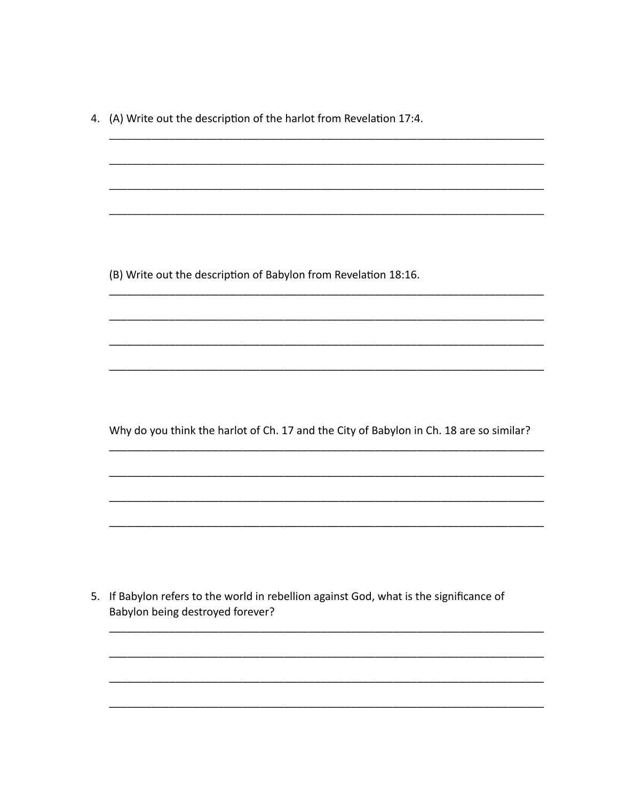4. (A) Write out the description of the harlot from Revelation 17:4.

(B) Write out the description of Babylon from Revelation 18:16.

Why do you think the harlot of Ch. 17 and the City of Babylon in Ch. 18 are so similar?

<u> 1980 - Jan Jawa Barat, president p</u>

 $\overline{\phantom{0}}$ 

5. If Babylon refers to the world in rebellion against God, what is the significance of Babylon being destroyed forever?